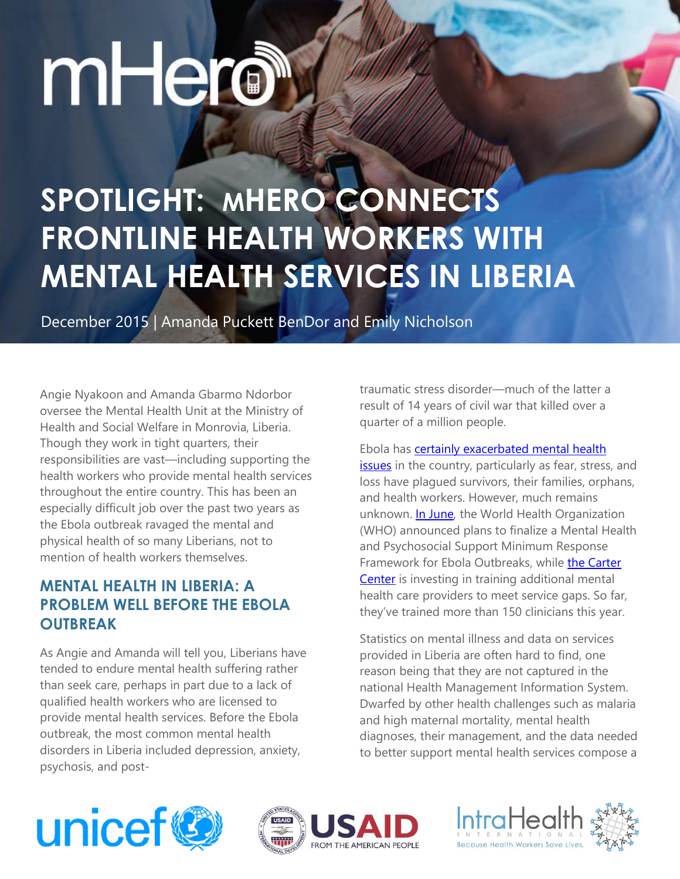# mHero

# **SPOTLIGHT: MHERO CONNECTS FRONTLINE HEALTH WORKERS WITH MENTAL HEALTH SERVICES IN LIBERIA**

December 2015 | Amanda Puckett BenDor and Emily Nicholson

Angie Nyakoon and Amanda Gbarmo Ndorbor oversee the Mental Health Unit at the Ministry of Health and Social Welfare in Monrovia, Liberia. Though they work in tight quarters, their responsibilities are vast—including supporting the health workers who provide mental health services throughout the entire country. This has been an especially difficult job over the past two years as the Ebola outbreak ravaged the mental and physical health of so many Liberians, not to mention of health workers themselves.

#### **MENTAL HEALTH IN LIBERIA: A PROBLEM WELL BEFORE THE EBOLA OUTBREAK**

As Angie and Amanda will tell you, Liberians have tended to endure mental health suffering rather than seek care, perhaps in part due to a lack of qualified health workers who are licensed to provide mental health services. Before the Ebola outbreak, the most common mental health disorders in Liberia included depression, anxiety, psychosis, and posttraumatic stress disorder—much of the latter a result of 14 years of civil war that killed over a quarter of a million people.

Ebola has [certainly exacerbated mental health](http://jama.jamanetwork.com/article.aspx?articleid=2086725)  [issues](http://jama.jamanetwork.com/article.aspx?articleid=2086725) in the country, particularly as fear, stress, and loss have plagued survivors, their families, orphans, and health workers. However, much remains unknown. [In June,](http://www.who.int/mental_health/emergencies/forum_liberia_06_15/en/) the World Health Organization (WHO) announced plans to finalize a Mental Health and Psychosocial Support Minimum Response Framework for Ebola Outbreaks, while [the Carter](http://www.cartercenter.org/news/pr/mental-health-liberia-082715.html)  [Center](http://www.cartercenter.org/news/pr/mental-health-liberia-082715.html) is investing in training additional mental health care providers to meet service gaps. So far, they've trained more than 150 clinicians this year.

Statistics on mental illness and data on services provided in Liberia are often hard to find, one reason being that they are not captured in the national Health Management Information System. Dwarfed by other health challenges such as malaria and high maternal mortality, mental health diagnoses, their management, and the data needed to better support mental health services compose a





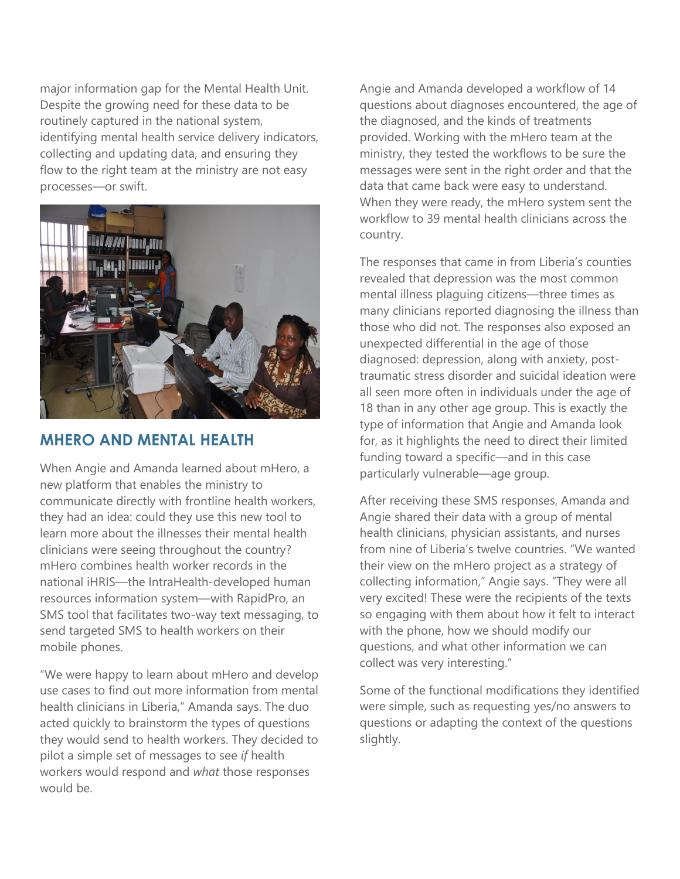major information gap for the Mental Health Unit. Despite the growing need for these data to be routinely captured in the national system, identifying mental health service delivery indicators, collecting and updating data, and ensuring they flow to the right team at the ministry are not easy processes—or swift.



#### **MHERO AND MENTAL HEALTH**

When Angie and Amanda learned about mHero, a new platform that enables the ministry to communicate directly with frontline health workers, they had an idea: could they use this new tool to learn more about the illnesses their mental health clinicians were seeing throughout the country? mHero combines health worker records in the national iHRIS—the IntraHealth-developed human resources information system—with RapidPro, an SMS tool that facilitates two-way text messaging, to send targeted SMS to health workers on their mobile phones.

"We were happy to learn about mHero and develop use cases to find out more information from mental health clinicians in Liberia," Amanda says. The duo acted quickly to brainstorm the types of questions they would send to health workers. They decided to pilot a simple set of messages to see *if* health workers would respond and *what* those responses would be.

Angie and Amanda developed a workflow of 14 questions about diagnoses encountered, the age of the diagnosed, and the kinds of treatments provided. Working with the mHero team at the ministry, they tested the workflows to be sure the messages were sent in the right order and that the data that came back were easy to understand. When they were ready, the mHero system sent the workflow to 39 mental health clinicians across the country.

The responses that came in from Liberia's counties revealed that depression was the most common mental illness plaguing citizens—three times as many clinicians reported diagnosing the illness than those who did not. The responses also exposed an unexpected differential in the age of those diagnosed: depression, along with anxiety, posttraumatic stress disorder and suicidal ideation were all seen more often in individuals under the age of 18 than in any other age group. This is exactly the type of information that Angie and Amanda look for, as it highlights the need to direct their limited funding toward a specific—and in this case particularly vulnerable—age group.

After receiving these SMS responses, Amanda and Angie shared their data with a group of mental health clinicians, physician assistants, and nurses from nine of Liberia's twelve countries. "We wanted their view on the mHero project as a strategy of collecting information," Angie says. "They were all very excited! These were the recipients of the texts so engaging with them about how it felt to interact with the phone, how we should modify our questions, and what other information we can collect was very interesting."

Some of the functional modifications they identified were simple, such as requesting yes/no answers to questions or adapting the context of the questions slightly.